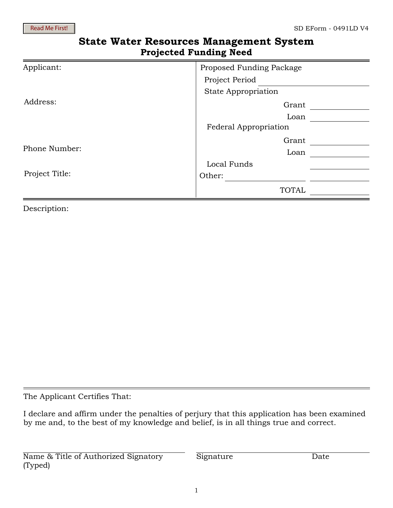## **State Water Resources Management System Projected Funding Need**

| Applicant:     | Proposed Funding Package   |  |
|----------------|----------------------------|--|
|                | Project Period             |  |
|                | <b>State Appropriation</b> |  |
| Address:       | Grant                      |  |
|                | Loan                       |  |
|                | Federal Appropriation      |  |
| Phone Number:  | Grant                      |  |
|                | Loan                       |  |
| Project Title: | Local Funds                |  |
|                | Other:                     |  |
|                | <b>TOTAL</b>               |  |

Description:

The Applicant Certifies That:

I declare and affirm under the penalties of perjury that this application has been examined by me and, to the best of my knowledge and belief, is in all things true and correct.

Name & Title of Authorized Signatory (Typed)

Signature Date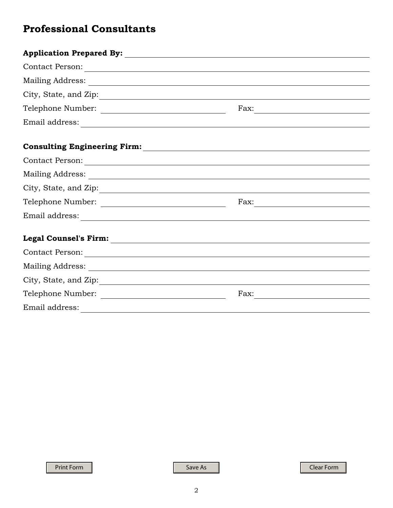# **Professional Consultants**

| City, State, and Zip: |  |
|-----------------------|--|
|                       |  |
|                       |  |
|                       |  |
|                       |  |
|                       |  |
|                       |  |
|                       |  |
|                       |  |
|                       |  |
|                       |  |
|                       |  |
| City, State, and Zip: |  |
|                       |  |
|                       |  |

Print Form Save As Save As Clear Form